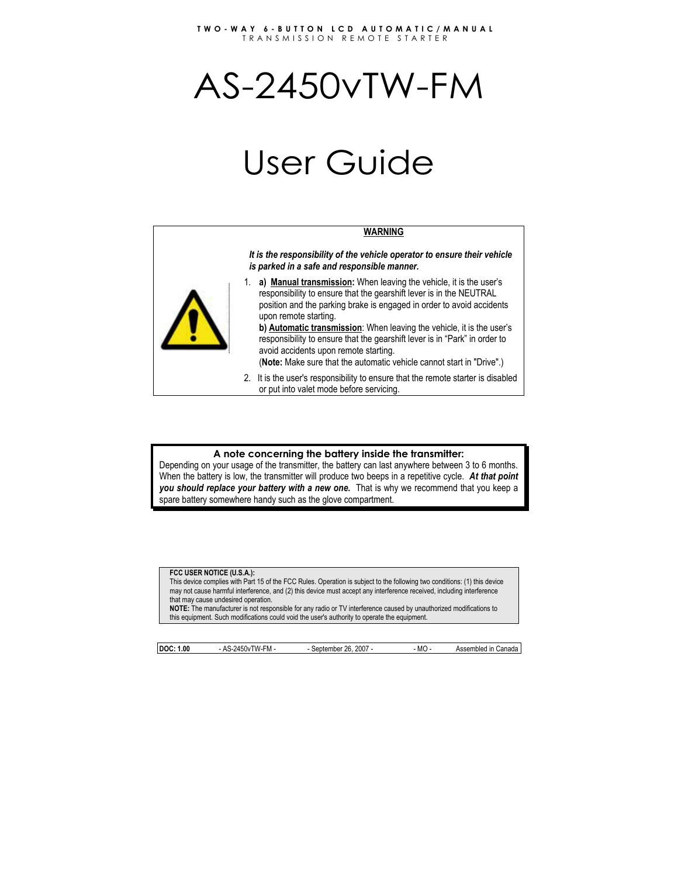#### **TWO-WAY 6-BUTTON LCD AUTOMATIC/MANUAL**  TRANSMISSION REMOTE STARTER

# AS-2450vTW-FM

# User Guide

#### **WARNING**

*It is the responsibility of the vehicle operator to ensure their vehicle is parked in a safe and responsible manner.* 

1. **a) Manual transmission:** When leaving the vehicle, it is the user's responsibility to ensure that the gearshift lever is in the NEUTRAL position and the parking brake is engaged in order to avoid accidents upon remote starting.

**b) Automatic transmission**: When leaving the vehicle, it is the user's responsibility to ensure that the gearshift lever is in "Park" in order to avoid accidents upon remote starting.

(**Note:** Make sure that the automatic vehicle cannot start in "Drive".)

2. It is the user's responsibility to ensure that the remote starter is disabled or put into valet mode before servicing.

#### **A note concerning the battery inside the transmitter:**

Depending on your usage of the transmitter, the battery can last anywhere between 3 to 6 months. When the battery is low, the transmitter will produce two beeps in a repetitive cycle. *At that point you should replace your battery with a new one.* That is why we recommend that you keep a spare battery somewhere handy such as the glove compartment.

#### **FCC USER NOTICE (U.S.A.):**

This device complies with Part 15 of the FCC Rules. Operation is subject to the following two conditions: (1) this device may not cause harmful interference, and (2) this device must accept any interference received, including interference that may cause undesired operation.

**NOTE:** The manufacturer is not responsible for any radio or TV interference caused by unauthorized modifications to this equipment. Such modifications could void the user's authority to operate the equipment.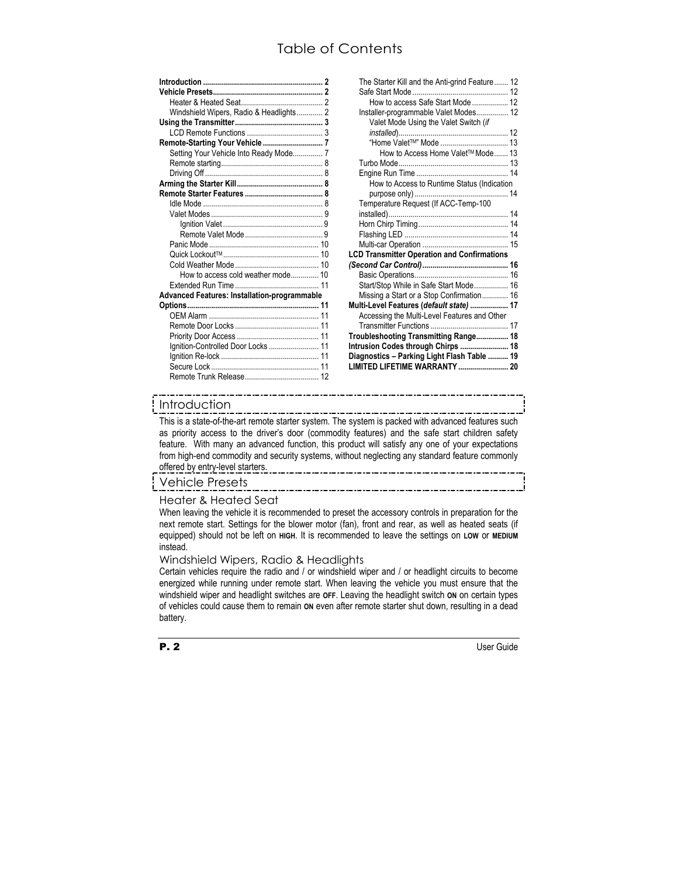# Table of Contents

| Windshield Wipers, Radio & Headlights 2             |
|-----------------------------------------------------|
|                                                     |
|                                                     |
| Remote-Starting Your Vehicle  7                     |
| Setting Your Vehicle Into Ready Mode 7              |
|                                                     |
|                                                     |
|                                                     |
|                                                     |
|                                                     |
|                                                     |
|                                                     |
|                                                     |
|                                                     |
|                                                     |
|                                                     |
| How to access cold weather mode 10                  |
|                                                     |
| <b>Advanced Features: Installation-programmable</b> |
|                                                     |
|                                                     |
|                                                     |
|                                                     |
| Ignition-Controlled Door Locks  11                  |
|                                                     |
|                                                     |
|                                                     |
|                                                     |

| The Starter Kill and the Anti-grind Feature 12     |  |
|----------------------------------------------------|--|
| How to access Safe Start Mode  12                  |  |
|                                                    |  |
| Installer-programmable Valet Modes 12              |  |
| Valet Mode Using the Valet Switch (if              |  |
|                                                    |  |
| How to Access Home Valet™ Mode 13                  |  |
|                                                    |  |
|                                                    |  |
| How to Access to Runtime Status (Indication        |  |
|                                                    |  |
| Temperature Request (If ACC-Temp-100               |  |
|                                                    |  |
|                                                    |  |
|                                                    |  |
|                                                    |  |
|                                                    |  |
| <b>LCD Transmitter Operation and Confirmations</b> |  |
|                                                    |  |
|                                                    |  |
| Start/Stop While in Safe Start Mode 16             |  |
| Missing a Start or a Stop Confirmation 16          |  |
| Multi-Level Features ( <i>default state</i> )  17  |  |
| Accessing the Multi-Level Features and Other       |  |
|                                                    |  |
| Troubleshooting Transmitting Range 18              |  |
| Intrusion Codes through Chirps  18                 |  |
| Diagnostics - Parking Light Flash Table  19        |  |
| LIMITED LIFETIME WARRANTY  20                      |  |

# Introduction

This is a state-of-the-art remote starter system. The system is packed with advanced features such as priority access to the driver's door (commodity features) and the safe start children safety feature. With many an advanced function, this product will satisfy any one of your expectations from high-end commodity and security systems, without neglecting any standard feature commonly offered by entry-level starters.

# Vehicle Presets

# Heater & Heated Seat

When leaving the vehicle it is recommended to preset the accessory controls in preparation for the next remote start. Settings for the blower motor (fan), front and rear, as well as heated seats (if equipped) should not be left on **HIGH**. It is recommended to leave the settings on **LOW** or **MEDIUM** instead.

# Windshield Wipers, Radio & Headlights

Certain vehicles require the radio and / or windshield wiper and / or headlight circuits to become energized while running under remote start. When leaving the vehicle you must ensure that the windshield wiper and headlight switches are **OFF**. Leaving the headlight switch **ON** on certain types of vehicles could cause them to remain **ON** even after remote starter shut down, resulting in a dead battery.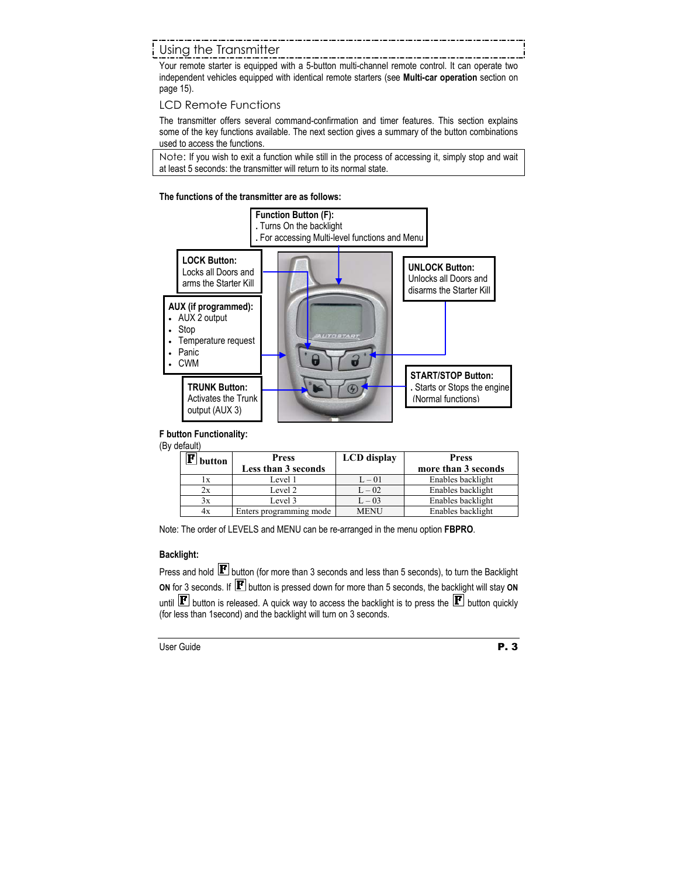# Using the Transmitter

Your remote starter is equipped with a 5-button multi-channel remote control. It can operate two independent vehicles equipped with identical remote starters (see **Multi-car operation** section on page 15).

# LCD Remote Functions

The transmitter offers several command-confirmation and timer features. This section explains some of the key functions available. The next section gives a summary of the button combinations used to access the functions.

Note: If you wish to exit a function while still in the process of accessing it, simply stop and wait at least 5 seconds: the transmitter will return to its normal state.

## **The functions of the transmitter are as follows:**



# **F button Functionality:**

(By default)

| button | <b>Press</b><br>Less than 3 seconds | <b>LCD</b> display | <b>Press</b><br>more than 3 seconds |
|--------|-------------------------------------|--------------------|-------------------------------------|
| lх     | Level 1                             | $L - 01$           | Enables backlight                   |
| 2х     | Level 2                             | $L - 02$           | Enables backlight                   |
| 3x     | Level 3                             | $L - 03$           | Enables backlight                   |
| 4x     | Enters programming mode             | <b>MENU</b>        | Enables backlight                   |

Note: The order of LEVELS and MENU can be re-arranged in the menu option **FBPRO**.

# **Backlight:**

Press and hold  $\boxed{\mathbf{F}}$  button (for more than 3 seconds and less than 5 seconds), to turn the Backlight **ON** for 3 seconds. If **P** button is pressed down for more than 5 seconds, the backlight will stay ON until  $\mathbf{F}$  button is released. A quick way to access the backlight is to press the  $\mathbf{F}$  button quickly (for less than 1second) and the backlight will turn on 3 seconds.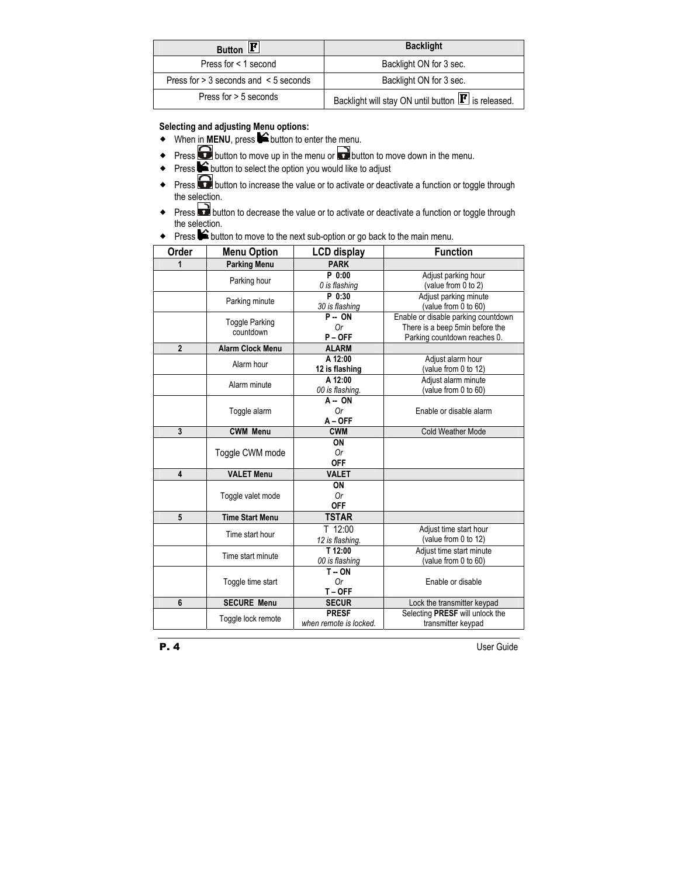| Button $\mathbf{F}$                          | <b>Backlight</b>                                              |
|----------------------------------------------|---------------------------------------------------------------|
| Press for < 1 second                         | Backlight ON for 3 sec.                                       |
| Press for $> 3$ seconds and $\leq 5$ seconds | Backlight ON for 3 sec.                                       |
| Press for > 5 seconds                        | Backlight will stay ON until button $\mathbf{F}$ is released. |

# **Selecting and adjusting Menu options:**

- $\blacklozenge$  When in **MENU**, press  $\blacklozenge$  button to enter the menu.
- Press **button to move up in the menu or button to move down in the menu.**
- Press  $\bigtriangleup$  button to select the option you would like to adjust
- Press **button to increase the value or to activate or deactivate a function or toggle through** the selection.
- Press **button to decrease the value or to activate or deactivate a function or toggle through** the selection.
- ◆ Press  $\bigcirc$  button to move to the next sub-option or go back to the main menu.

| Order                   | <b>Menu Option</b>      | <b>LCD display</b>     | <b>Function</b>                     |
|-------------------------|-------------------------|------------------------|-------------------------------------|
| 1                       | <b>Parking Menu</b>     | <b>PARK</b>            |                                     |
|                         | Parking hour            | P 0:00                 | Adjust parking hour                 |
|                         |                         | 0 is flashing          | (value from 0 to 2)                 |
|                         | Parking minute          | P 0:30                 | Adjust parking minute               |
|                         |                         | 30 is flashing         | (value from 0 to 60)                |
|                         | <b>Toggle Parking</b>   | $P - ON$               | Enable or disable parking countdown |
|                         | countdown               | 0r                     | There is a beep 5min before the     |
|                         |                         | $P - OFF$              | Parking countdown reaches 0.        |
| $\overline{2}$          | <b>Alarm Clock Menu</b> | <b>ALARM</b>           |                                     |
|                         | Alarm hour              | A 12:00                | Adjust alarm hour                   |
|                         |                         | 12 is flashing         | (value from 0 to 12)                |
|                         | Alarm minute            | A 12:00                | Adjust alarm minute                 |
|                         |                         | 00 is flashing.        | (value from 0 to 60)                |
|                         |                         | A-ON                   |                                     |
|                         | Toggle alarm            | 0r                     | Enable or disable alarm             |
|                         |                         | $A - OFF$              |                                     |
| 3                       | <b>CWM Menu</b>         | <b>CWM</b>             | <b>Cold Weather Mode</b>            |
|                         |                         | ON                     |                                     |
|                         | Toggle CWM mode         | 0r                     |                                     |
|                         |                         | <b>OFF</b>             |                                     |
| $\overline{\mathbf{4}}$ | <b>VALET Menu</b>       | <b>VALET</b>           |                                     |
|                         |                         | ON                     |                                     |
|                         | Toggle valet mode       | 0r                     |                                     |
|                         |                         | <b>OFF</b>             |                                     |
| 5                       | <b>Time Start Menu</b>  | <b>TSTAR</b>           |                                     |
|                         | Time start hour         | T 12:00                | Adjust time start hour              |
|                         |                         | 12 is flashing.        | (value from 0 to 12)                |
|                         |                         | T 12:00                | Adjust time start minute            |
|                         | Time start minute       | 00 is flashing         | (value from 0 to 60)                |
|                         |                         | $T - ON$               |                                     |
|                         | Toggle time start       | 0r                     | Enable or disable                   |
|                         |                         | T-OFF                  |                                     |
| 6                       | <b>SECURE Menu</b>      | <b>SECUR</b>           | Lock the transmitter keypad         |
|                         | Toggle lock remote      | <b>PRESF</b>           | Selecting PRESF will unlock the     |
|                         |                         | when remote is locked. | transmitter keypad                  |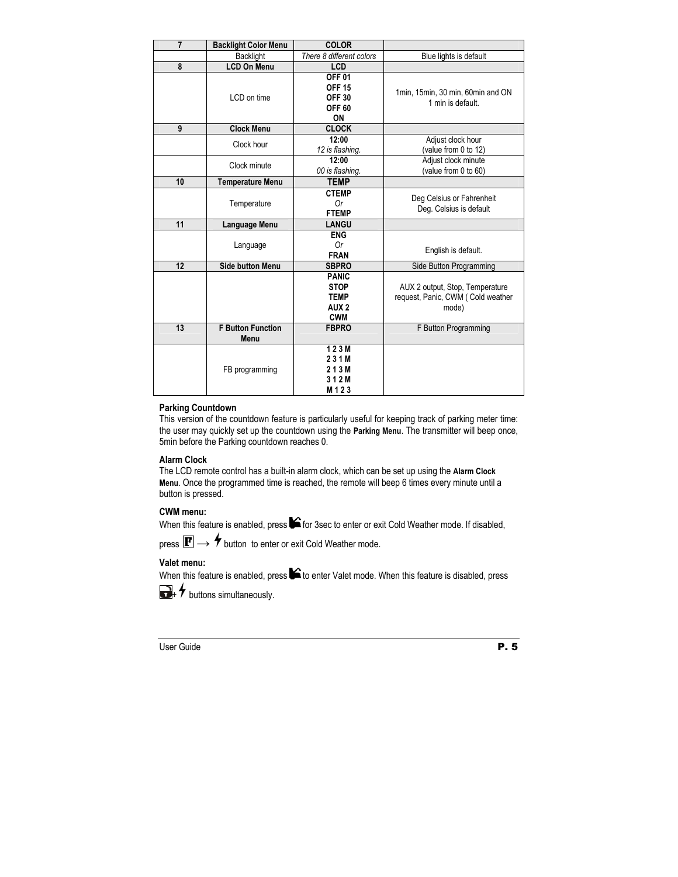| $\overline{7}$ | <b>Backlight Color Menu</b>      | <b>COLOR</b>                                                                 |                                                                               |
|----------------|----------------------------------|------------------------------------------------------------------------------|-------------------------------------------------------------------------------|
|                | Backlight                        | There 8 different colors                                                     | Blue lights is default                                                        |
| 8              | <b>LCD On Menu</b>               | LCD                                                                          |                                                                               |
|                | LCD on time                      | <b>OFF 01</b><br><b>OFF 15</b><br><b>OFF 30</b><br>OFF <sub>60</sub><br>ON   | 1min, 15min, 30 min, 60min and ON<br>1 min is default.                        |
| 9              | <b>Clock Menu</b>                | <b>CLOCK</b>                                                                 |                                                                               |
|                | Clock hour                       | 12:00<br>12 is flashing.                                                     | Adjust clock hour<br>(value from 0 to 12)                                     |
|                | Clock minute                     | 12:00<br>00 is flashing.                                                     | Adjust clock minute<br>(value from 0 to 60)                                   |
| 10             | <b>Temperature Menu</b>          | <b>TEMP</b>                                                                  |                                                                               |
|                | Temperature                      | <b>CTEMP</b><br>0r<br><b>FTEMP</b>                                           | Deg Celsius or Fahrenheit<br>Deg. Celsius is default                          |
| 11             | Language Menu                    | <b>LANGU</b>                                                                 |                                                                               |
|                | Language                         | <b>ENG</b><br>0r<br><b>FRAN</b>                                              | English is default.                                                           |
| 12             | <b>Side button Menu</b>          | <b>SBPRO</b>                                                                 | Side Button Programming                                                       |
|                |                                  | <b>PANIC</b><br><b>STOP</b><br><b>TEMP</b><br>AUX <sub>2</sub><br><b>CWM</b> | AUX 2 output, Stop, Temperature<br>request, Panic, CWM (Cold weather<br>mode) |
| 13             | <b>F Button Function</b><br>Menu | <b>FBPRO</b>                                                                 | F Button Programming                                                          |
|                | FB programming                   | 123M<br>231M<br>213M<br>312M<br>M123                                         |                                                                               |

#### **Parking Countdown**

This version of the countdown feature is particularly useful for keeping track of parking meter time: the user may quickly set up the countdown using the **Parking Menu**. The transmitter will beep once, 5min before the Parking countdown reaches 0.

# **Alarm Clock**

The LCD remote control has a built-in alarm clock, which can be set up using the **Alarm Clock Menu**. Once the programmed time is reached, the remote will beep 6 times every minute until a button is pressed.

#### **CWM menu:**

When this feature is enabled, press  $\blacktriangleright$  for 3sec to enter or exit Cold Weather mode. If disabled,

press  $\mathbf{F} \rightarrow \mathbf{F}$  button to enter or exit Cold Weather mode.

# **Valet menu:**

When this feature is enabled, press  $\blacktriangle$  to enter Valet mode. When this feature is disabled, press



 $\rightarrow$  buttons simultaneously.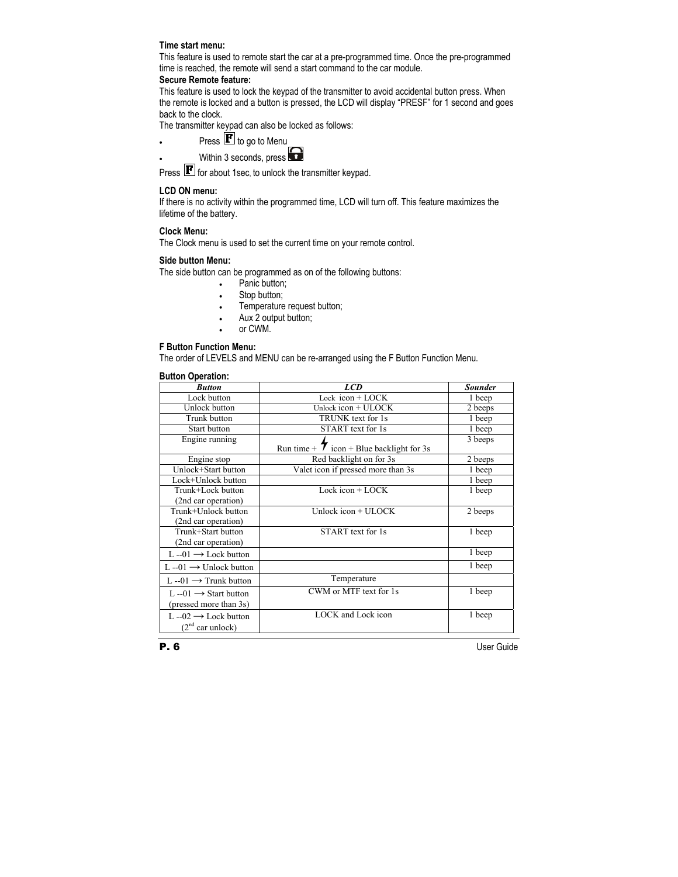#### **Time start menu:**

This feature is used to remote start the car at a pre-programmed time. Once the pre-programmed time is reached, the remote will send a start command to the car module.

### **Secure Remote feature:**

This feature is used to lock the keypad of the transmitter to avoid accidental button press. When the remote is locked and a button is pressed, the LCD will display "PRESF" for 1 second and goes back to the clock.

The transmitter keypad can also be locked as follows:

Press  $\mathbf{F}$  to go to Menu

Within 3 seconds, press

Press  $\mathbf{F}$  for about 1sec, to unlock the transmitter keypad.

## **LCD ON menu:**

If there is no activity within the programmed time, LCD will turn off. This feature maximizes the lifetime of the battery.

## **Clock Menu:**

The Clock menu is used to set the current time on your remote control.

### **Side button Menu:**

The side button can be programmed as on of the following buttons:

- Panic button:
- Stop button:
- Temperature request button;
- Aux 2 output button;
- or CWM.

#### **F Button Function Menu:**

The order of LEVELS and MENU can be re-arranged using the F Button Function Menu.

#### **Button Operation:**

| <b>Button</b>                                              | <b>LCD</b>                                     | <b>Sounder</b> |
|------------------------------------------------------------|------------------------------------------------|----------------|
| Lock button                                                | Lock $icon + LOCK$                             | 1 beep         |
| Unlock button                                              | Unlock icon $+$ ULOCK                          | 2 beeps        |
| Trunk button                                               | TRUNK text for 1s                              | 1 beep         |
| Start button                                               | START text for 1s                              | 1 beep         |
| Engine running                                             | Run time + $\tau$ icon + Blue backlight for 3s | 3 beeps        |
| Engine stop                                                | Red backlight on for 3s                        | 2 beeps        |
| Unlock+Start button                                        | Valet icon if pressed more than 3s             | 1 beep         |
| Lock+Unlock button                                         |                                                | 1 beep         |
| Trunk+Lock button                                          | Lock icon $+$ LOCK                             | 1 beep         |
| (2nd car operation)                                        |                                                |                |
| Trunk+Unlock button                                        | Unlock icon + ULOCK                            | 2 beeps        |
| (2nd car operation)                                        |                                                |                |
| Trunk+Start button<br>(2nd car operation)                  | START text for 1s                              | 1 beep         |
| $L -01 \rightarrow$ Lock button                            |                                                | 1 beep         |
| $L -01 \rightarrow$ Unlock button                          |                                                | 1 beep         |
| L--01 $\rightarrow$ Trunk button                           | Temperature                                    |                |
| $L -01 \rightarrow$ Start button<br>(pressed more than 3s) | CWM or MTF text for 1s                         | 1 beep         |
| L --02 $\rightarrow$ Lock button<br>$(2nd$ car unlock)     | LOCK and Lock icon                             | 1 beep         |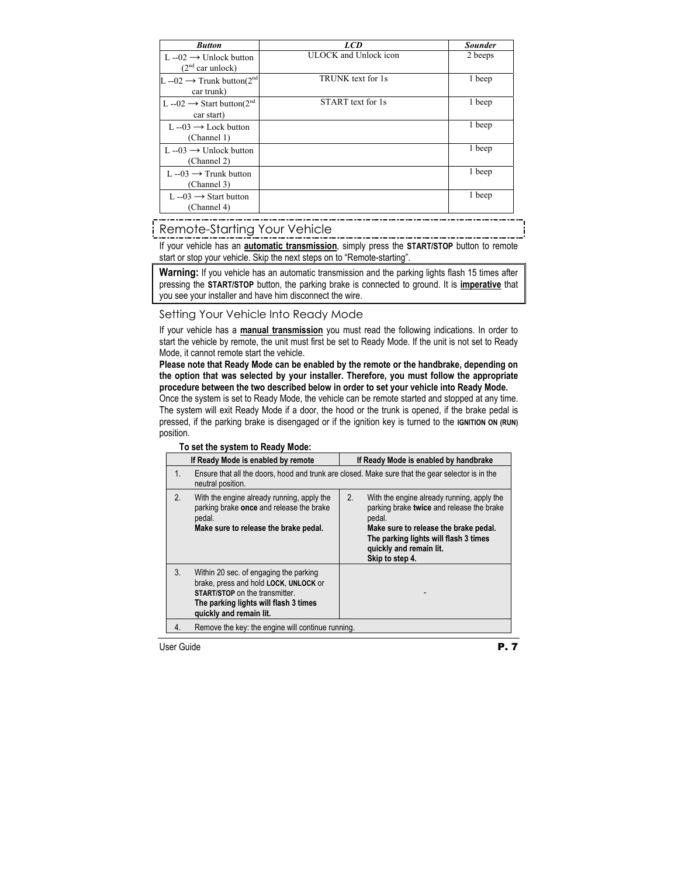| <b>Button</b>                                                   | <b>LCD</b>            | <b>Sounder</b> |
|-----------------------------------------------------------------|-----------------------|----------------|
| $L = 02 \rightarrow$ Unlock button                              | ULOCK and Unlock icon | 2 beeps        |
| $(2nd$ car unlock)                                              |                       |                |
| $L$ --02 → Trunk button(2 <sup>nd</sup><br>car trunk)           | TRUNK text for 1s     | 1 beep         |
| L --02 $\rightarrow$ Start button(2 <sup>nd</sup><br>car start) | START text for 1s     | 1 beep         |
| $L - 03 \rightarrow$ Lock button<br>(Channel 1)                 |                       | 1 beep         |
| $L = 03 \rightarrow$ Unlock button<br>(Channel 2)               |                       | 1 beep         |
| L $-03 \rightarrow$ Trunk button<br>(Channel 3)                 |                       | 1 beep         |
| L --03 $\rightarrow$ Start button<br>(Channel 4)                |                       | 1 beep         |

# Remote-Starting Your Vehicle

If your vehicle has an **automatic transmission**, simply press the **START/STOP** button to remote start or stop your vehicle. Skip the next steps on to "Remote-starting".

**Warning:** If you vehicle has an automatic transmission and the parking lights flash 15 times after pressing the **START/STOP** button, the parking brake is connected to ground. It is **imperative** that you see your installer and have him disconnect the wire.

# Setting Your Vehicle Into Ready Mode

If your vehicle has a **manual transmission** you must read the following indications. In order to start the vehicle by remote, the unit must first be set to Ready Mode. If the unit is not set to Ready Mode, it cannot remote start the vehicle.

**Please note that Ready Mode can be enabled by the remote or the handbrake, depending on the option that was selected by your installer. Therefore, you must follow the appropriate procedure between the two described below in order to set your vehicle into Ready Mode.** 

Once the system is set to Ready Mode, the vehicle can be remote started and stopped at any time. The system will exit Ready Mode if a door, the hood or the trunk is opened, if the brake pedal is pressed, if the parking brake is disengaged or if the ignition key is turned to the **IGNITION ON (RUN)** position.

#### **To set the system to Ready Mode:**

|    | If Ready Mode is enabled by remote                                                                                                                                                    | If Ready Mode is enabled by handbrake                                                                                                                                                                                                   |
|----|---------------------------------------------------------------------------------------------------------------------------------------------------------------------------------------|-----------------------------------------------------------------------------------------------------------------------------------------------------------------------------------------------------------------------------------------|
| 1. | neutral position.                                                                                                                                                                     | Ensure that all the doors, hood and trunk are closed. Make sure that the gear selector is in the                                                                                                                                        |
| 2. | With the engine already running, apply the<br>parking brake once and release the brake<br>pedal.<br>Make sure to release the brake pedal.                                             | 2.<br>With the engine already running, apply the<br>parking brake twice and release the brake<br>pedal.<br>Make sure to release the brake pedal.<br>The parking lights will flash 3 times<br>quickly and remain lit.<br>Skip to step 4. |
| 3. | Within 20 sec. of engaging the parking<br>brake, press and hold LOCK, UNLOCK or<br>START/STOP on the transmitter.<br>The parking lights will flash 3 times<br>quickly and remain lit. |                                                                                                                                                                                                                                         |
| 4. | Remove the key: the engine will continue running.                                                                                                                                     |                                                                                                                                                                                                                                         |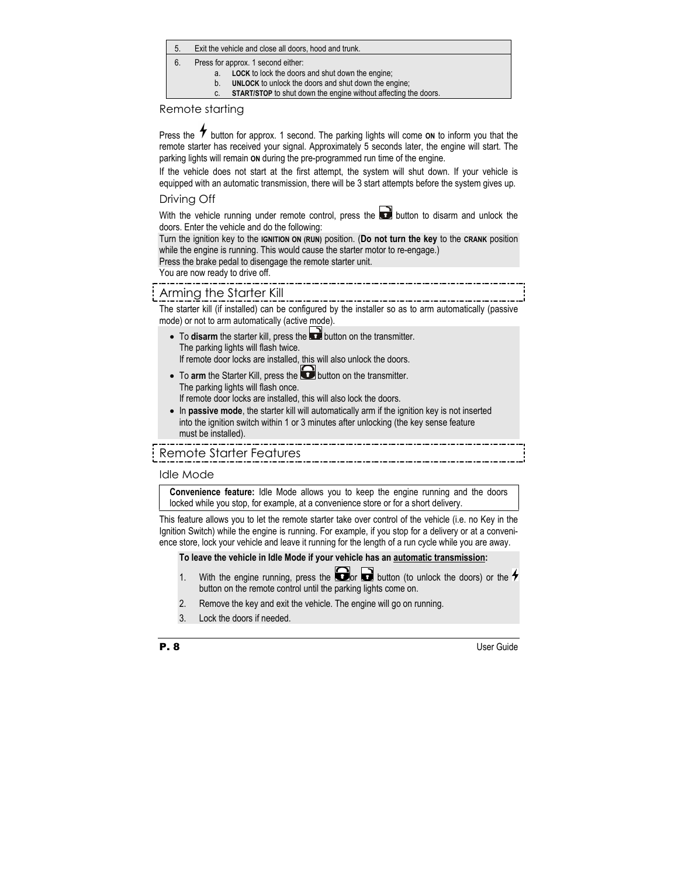- 5. Exit the vehicle and close all doors, hood and trunk.
- 6. Press for approx. 1 second either:
	- a. **LOCK** to lock the doors and shut down the engine;
	- b. **UNLOCK** to unlock the doors and shut down the engine;
	- c. **START/STOP** to shut down the engine without affecting the doors.

# Remote starting

Press the  $\tau$  button for approx. 1 second. The parking lights will come on to inform you that the remote starter has received your signal. Approximately 5 seconds later, the engine will start. The parking lights will remain **ON** during the pre-programmed run time of the engine.

If the vehicle does not start at the first attempt, the system will shut down. If your vehicle is equipped with an automatic transmission, there will be 3 start attempts before the system gives up.

# Driving Off

With the vehicle running under remote control, press the  $\Box$  button to disarm and unlock the doors. Enter the vehicle and do the following:

Turn the ignition key to the **IGNITION ON (RUN)** position. (**Do not turn the key** to the **CRANK** position while the engine is running. This would cause the starter motor to re-engage.)

Press the brake pedal to disengage the remote starter unit.

You are now ready to drive off.

# Arming the Starter Kill

The starter kill (if installed) can be configured by the installer so as to arm automatically (passive mode) or not to arm automatically (active mode).

- To **disarm** the starter kill, press the **button** on the transmitter. The parking lights will flash twice. If remote door locks are installed, this will also unlock the doors.
- To arm the Starter Kill, press the **button on the transmitter.**  The parking lights will flash once. If remote door locks are installed, this will also lock the doors.
- In **passive mode**, the starter kill will automatically arm if the ignition key is not inserted into the ignition switch within 1 or 3 minutes after unlocking (the key sense feature must be installed).

# Remote Starter Features

# Idle Mode

**Convenience feature:** Idle Mode allows you to keep the engine running and the doors locked while you stop, for example, at a convenience store or for a short delivery.

This feature allows you to let the remote starter take over control of the vehicle (i.e. no Key in the Ignition Switch) while the engine is running. For example, if you stop for a delivery or at a convenience store, lock your vehicle and leave it running for the length of a run cycle while you are away.

# **To leave the vehicle in Idle Mode if your vehicle has an automatic transmission:**

- 1. With the engine running, press the  $\Box$  button (to unlock the doors) or the  $\rightarrow$ button on the remote control until the parking lights come on.
- 2. Remove the key and exit the vehicle. The engine will go on running.
- 3. Lock the doors if needed.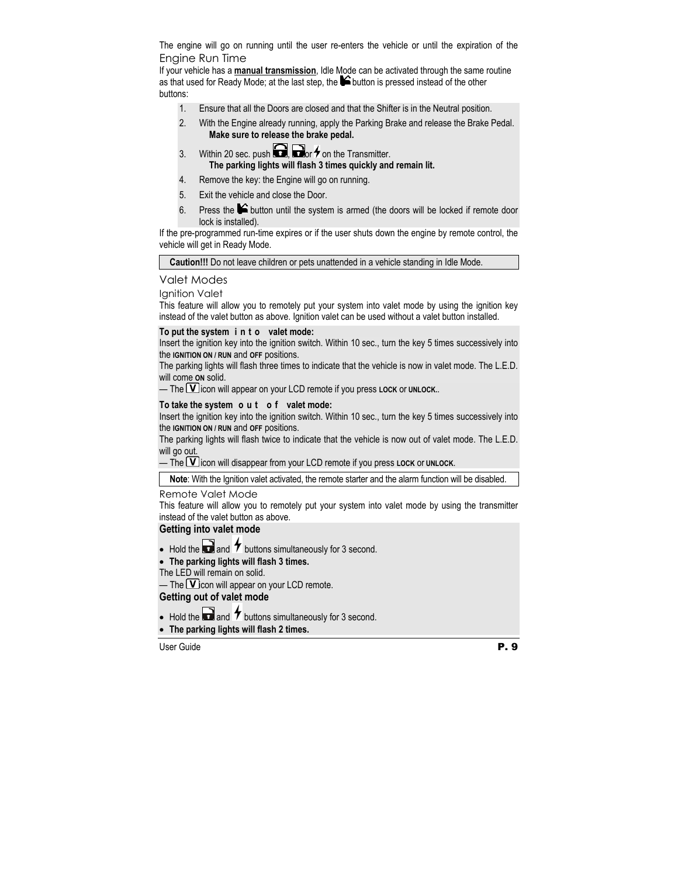The engine will go on running until the user re-enters the vehicle or until the expiration of the Engine Run Time

If your vehicle has a **manual transmission**, Idle Mode can be activated through the same routine as that used for Ready Mode; at the last step, the  $\blacktriangleright$  button is pressed instead of the other buttons:

- 1. Ensure that all the Doors are closed and that the Shifter is in the Neutral position.
- 2. With the Engine already running, apply the Parking Brake and release the Brake Pedal.  **Make sure to release the brake pedal.**
- 3. Within 20 sec. push  $\bigodot$   $\bigodot$  or  $\overline{\mathcal{F}}$  on the Transmitter.  **The parking lights will flash 3 times quickly and remain lit.**
- 4. Remove the key: the Engine will go on running.
- 5. Exit the vehicle and close the Door.
- 6. Press the  $\blacktriangleright$  button until the system is armed (the doors will be locked if remote door lock is installed).

If the pre-programmed run-time expires or if the user shuts down the engine by remote control, the vehicle will get in Ready Mode.

**Caution!!!** Do not leave children or pets unattended in a vehicle standing in Idle Mode.

# Valet Modes

Ignition Valet

This feature will allow you to remotely put your system into valet mode by using the ignition key instead of the valet button as above. Ignition valet can be used without a valet button installed.

# **To put the system i n t o valet mode:**

Insert the ignition key into the ignition switch. Within 10 sec., turn the key 5 times successively into the **IGNITION ON / RUN** and **OFF** positions.

The parking lights will flash three times to indicate that the vehicle is now in valet mode. The L.E.D. will come **ON** solid.

 $\blacksquare$  The  $\blacksquare$  licon will appear on your LCD remote if you press LOCK or UNLOCK..

# **To take the system o u t o f valet mode:**

Insert the ignition key into the ignition switch. Within 10 sec., turn the key 5 times successively into the **IGNITION ON / RUN** and **OFF** positions.

The parking lights will flash twice to indicate that the vehicle is now out of valet mode. The L.E.D. will go out.

 $-$  The **V** icon will disappear from your LCD remote if you press LOCK or UNLOCK.

**Note**: With the Ignition valet activated, the remote starter and the alarm function will be disabled.

# Remote Valet Mode

This feature will allow you to remotely put your system into valet mode by using the transmitter instead of the valet button as above.

# **Getting into valet mode**

• Hold the  $\bullet$  and  $\bullet$  buttons simultaneously for 3 second.

# • **The parking lights will flash 3 times.**

The LED will remain on solid.

— The  $\mathbf U$  con will appear on your LCD remote.

# **Getting out of valet mode**

- Hold the  $\Box$  and  $\bigstar$  buttons simultaneously for 3 second.
- **The parking lights will flash 2 times.**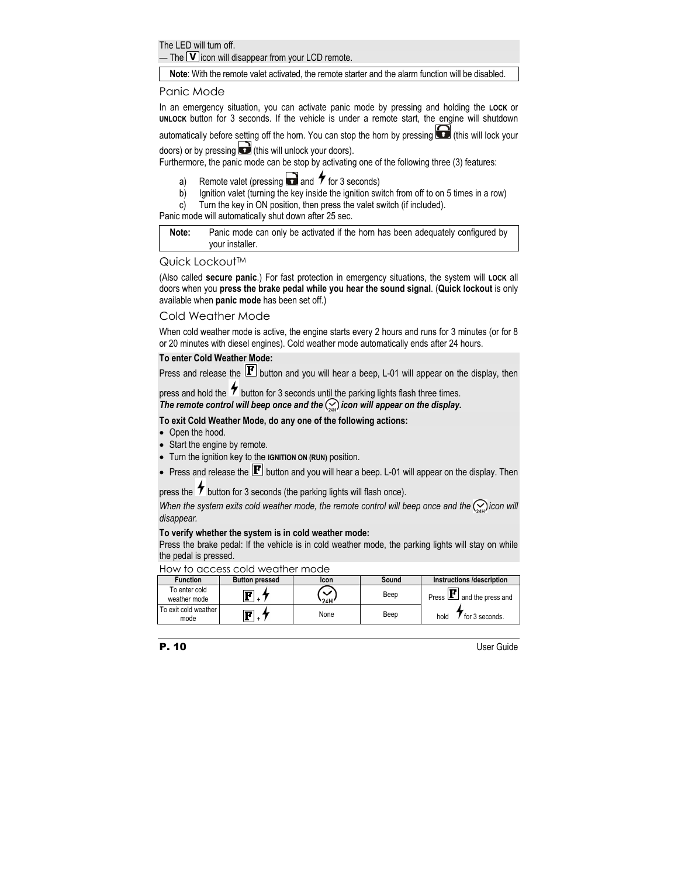The LED will turn off.

— The  $\Box$  icon will disappear from your LCD remote.

**Note**: With the remote valet activated, the remote starter and the alarm function will be disabled.

# Panic Mode

In an emergency situation, you can activate panic mode by pressing and holding the **LOCK** or **UNLOCK** button for 3 seconds. If the vehicle is under a remote start, the engine will shutdown

automatically before setting off the horn. You can stop the horn by pressing  $\Box$  (this will lock your doors) or by pressing  $\Box$  (this will unlock your doors).

Furthermore, the panic mode can be stop by activating one of the following three (3) features:

- a) Remote valet (pressing  $\Box$  and  $\gamma$  for 3 seconds)
- b) Ignition valet (turning the key inside the ignition switch from off to on 5 times in a row)
- c) Turn the key in ON position, then press the valet switch (if included).

Panic mode will automatically shut down after 25 sec.

**Note:** Panic mode can only be activated if the horn has been adequately configured by your installer.

## Quick Lockout™

(Also called **secure panic**.) For fast protection in emergency situations, the system will **LOCK** all doors when you **press the brake pedal while you hear the sound signal**. (**Quick lockout** is only available when **panic mode** has been set off.)

# Cold Weather Mode

When cold weather mode is active, the engine starts every 2 hours and runs for 3 minutes (or for 8 or 20 minutes with diesel engines). Cold weather mode automatically ends after 24 hours.

#### **To enter Cold Weather Mode:**

Press and release the  $\mathbf F$  button and you will hear a beep, L-01 will appear on the display, then

press and hold the  $\tau$  button for 3 seconds until the parking lights flash three times.

The remote control will beep once and the  $\leq$  icon will appear on the display.

#### **To exit Cold Weather Mode, do any one of the following actions:**

- Open the hood.
- Start the engine by remote.
- Turn the ignition key to the **IGNITION ON (RUN)** position.
- Press and release the  $\mathbf F$  button and you will hear a beep. L-01 will appear on the display. Then

press the  $\tau$  button for 3 seconds (the parking lights will flash once).

*When the system exits cold weather mode, the remote control will beep once and the* $\odot$  *icon will disappear.* 

#### **To verify whether the system is in cold weather mode:**

Press the brake pedal: If the vehicle is in cold weather mode, the parking lights will stay on while the pedal is pressed.

|                               | TIOM TO GCCC33 COIG MOGILIOI THOGO |       |       |                                      |
|-------------------------------|------------------------------------|-------|-------|--------------------------------------|
| <b>Function</b>               | <b>Button pressed</b>              | Icon  | Sound | Instructions /description            |
| To enter cold<br>weather mode |                                    | '24H' | Beep  | Press $\mathbf{F}$ and the press and |
| To exit cold weather<br>mode  | П                                  | None  | Beep  | hold<br>for 3 seconds.               |

#### How to access cold weather mode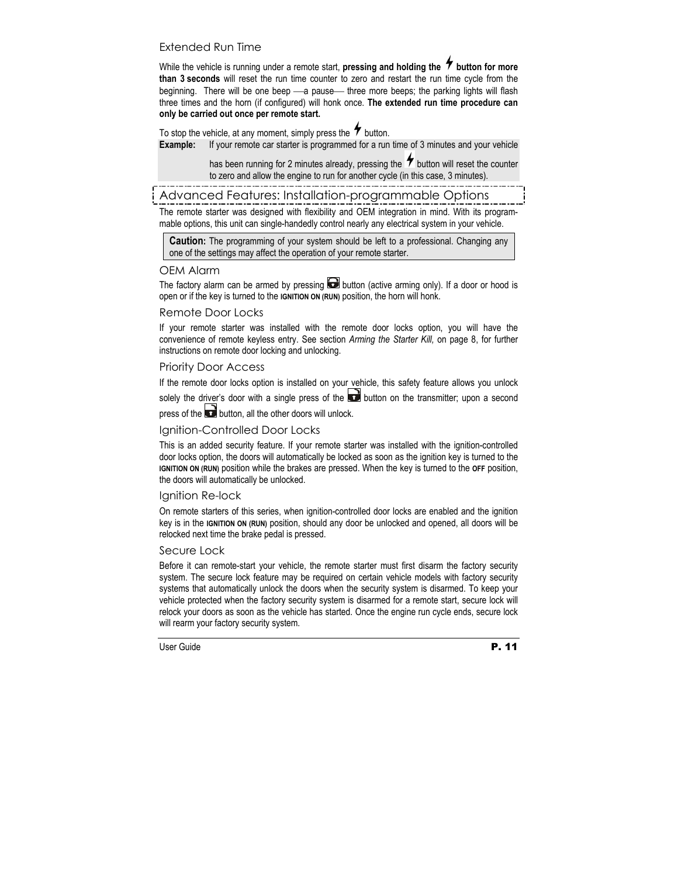# Extended Run Time

While the vehicle is running under a remote start, **pressing and holding the**  $\tau$  **button for more than 3 seconds** will reset the run time counter to zero and restart the run time cycle from the beginning. There will be one beep - a pause - three more beeps; the parking lights will flash three times and the horn (if configured) will honk once. **The extended run time procedure can only be carried out once per remote start.** 

To stop the vehicle, at any moment, simply press the  $\tau$  button. **Example:** If your remote car starter is programmed for a run time of 3 minutes and your vehicle

> has been running for 2 minutes already, pressing the  $\tau$  button will reset the counter to zero and allow the engine to run for another cycle (in this case, 3 minutes).

Advanced Features: Installation-programmable Options

The remote starter was designed with flexibility and OEM integration in mind. With its programmable options, this unit can single-handedly control nearly any electrical system in your vehicle.

**Caution:** The programming of your system should be left to a professional. Changing any one of the settings may affect the operation of your remote starter.

# OEM Alarm

The factory alarm can be armed by pressing  $\Box$  button (active arming only). If a door or hood is open or if the key is turned to the **IGNITION ON (RUN)** position, the horn will honk.

## Remote Door Locks

If your remote starter was installed with the remote door locks option, you will have the convenience of remote keyless entry. See section *Arming the Starter Kill,* on page 8, for further instructions on remote door locking and unlocking.

# Priority Door Access

If the remote door locks option is installed on your vehicle, this safety feature allows you unlock solely the driver's door with a single press of the  $\Box$  button on the transmitter; upon a second

press of the  $\Box$  button, all the other doors will unlock.

# Ignition-Controlled Door Locks

This is an added security feature. If your remote starter was installed with the ignition-controlled door locks option, the doors will automatically be locked as soon as the ignition key is turned to the **IGNITION ON (RUN)** position while the brakes are pressed. When the key is turned to the **OFF** position, the doors will automatically be unlocked.

# Ignition Re-lock

On remote starters of this series, when ignition-controlled door locks are enabled and the ignition key is in the **IGNITION ON (RUN)** position, should any door be unlocked and opened, all doors will be relocked next time the brake pedal is pressed.

#### Secure Lock

Before it can remote-start your vehicle, the remote starter must first disarm the factory security system. The secure lock feature may be required on certain vehicle models with factory security systems that automatically unlock the doors when the security system is disarmed. To keep your vehicle protected when the factory security system is disarmed for a remote start, secure lock will relock your doors as soon as the vehicle has started. Once the engine run cycle ends, secure lock will rearm your factory security system.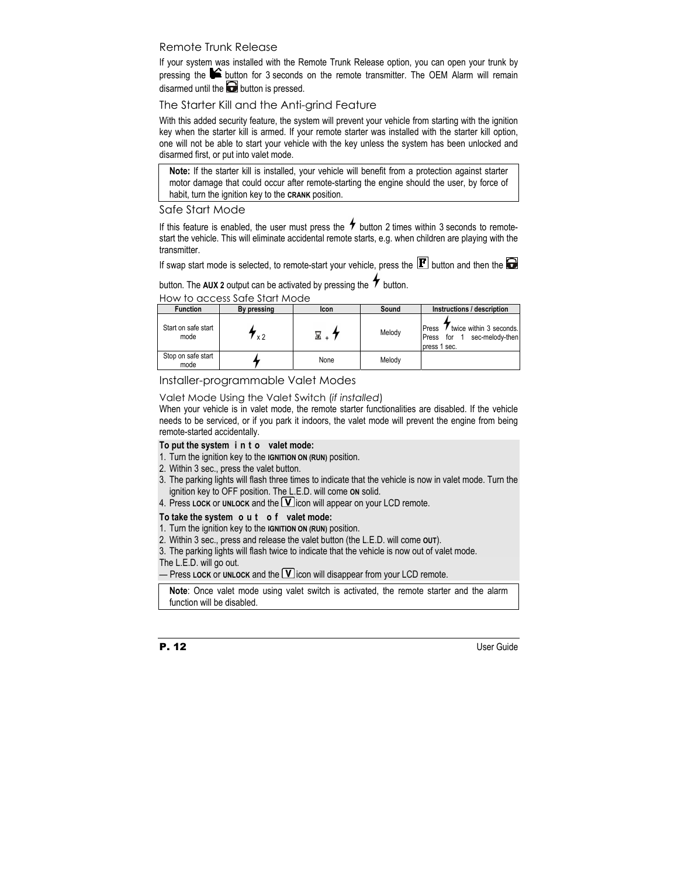# Remote Trunk Release

If your system was installed with the Remote Trunk Release option, you can open your trunk by pressing the  $\blacktriangleright$  button for 3 seconds on the remote transmitter. The OEM Alarm will remain disarmed until the  $\Box$  button is pressed.

The Starter Kill and the Anti-grind Feature

With this added security feature, the system will prevent your vehicle from starting with the ignition key when the starter kill is armed. If your remote starter was installed with the starter kill option, one will not be able to start your vehicle with the key unless the system has been unlocked and disarmed first, or put into valet mode.

**Note:** If the starter kill is installed, your vehicle will benefit from a protection against starter motor damage that could occur after remote-starting the engine should the user, by force of habit, turn the ignition key to the **CRANK** position.

# Safe Start Mode

If this feature is enabled, the user must press the  $\bullet$  button 2 times within 3 seconds to remotestart the vehicle. This will eliminate accidental remote starts, e.g. when children are playing with the transmitter.

If swap start mode is selected, to remote-start your vehicle, press the  $\mathbf F$  button and then the  $\blacksquare$ 

button. The **AUX 2** output can be activated by pressing the  $\bigstar$  button.

|                             | TIOM TO GOODS SQID SIGHT MOGO |      |        |                                                                                     |
|-----------------------------|-------------------------------|------|--------|-------------------------------------------------------------------------------------|
| <b>Function</b>             | By pressing                   | Icon | Sound  | Instructions / description                                                          |
| Start on safe start<br>mode | ่ x 2                         |      | Melody | twice within 3 seconds.<br>Press<br>sec-melody-then<br>for<br>Press<br>press 1 sec. |
| Stop on safe start<br>mode  |                               | None | Melody |                                                                                     |

How to access Safe Start Mode

Installer-programmable Valet Modes

Valet Mode Using the Valet Switch (*if installed*)

When your vehicle is in valet mode, the remote starter functionalities are disabled. If the vehicle needs to be serviced, or if you park it indoors, the valet mode will prevent the engine from being remote-started accidentally.

# **To put the system i n t o valet mode:**

- 1. Turn the ignition key to the **IGNITION ON (RUN)** position.
- 2. Within 3 sec., press the valet button.
- 3. The parking lights will flash three times to indicate that the vehicle is now in valet mode. Turn the ignition key to OFF position. The L.E.D. will come **ON** solid.
- 4. Press LOCK or UNLOCK and the **V** icon will appear on your LCD remote.

# **To take the system o u t o f valet mode:**

- 1. Turn the ignition key to the **IGNITION ON (RUN)** position.
- 2. Within 3 sec., press and release the valet button (the L.E.D. will come **OUT**).
- 3. The parking lights will flash twice to indicate that the vehicle is now out of valet mode.

The L.E.D. will go out.

 $-$  Press LOCK or UNLOCK and the  $\Box$  icon will disappear from your LCD remote.

**Note**: Once valet mode using valet switch is activated, the remote starter and the alarm function will be disabled.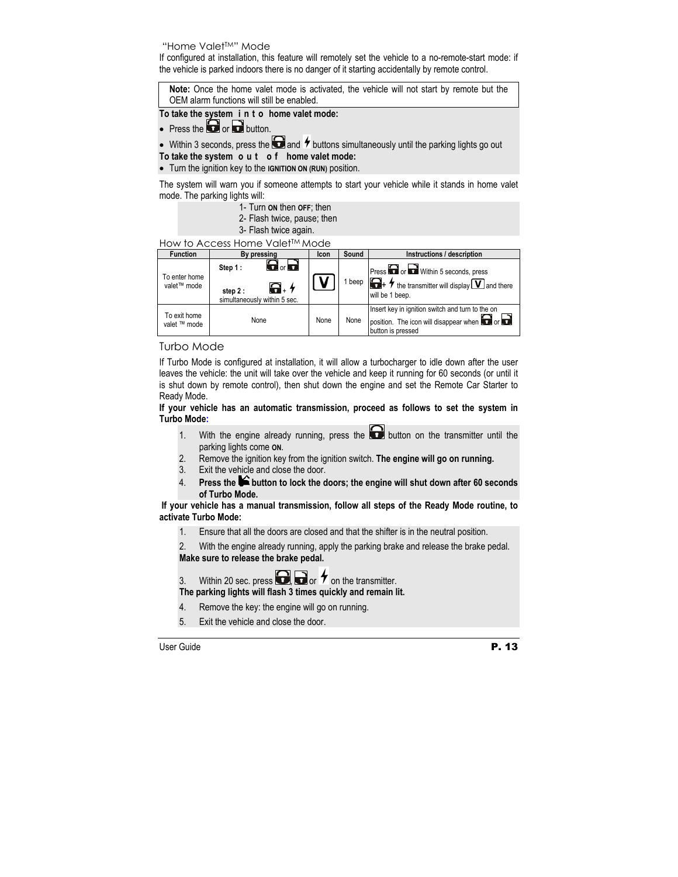## "Home ValetTM" Mode

If configured at installation, this feature will remotely set the vehicle to a no-remote-start mode: if the vehicle is parked indoors there is no danger of it starting accidentally by remote control.

**Note:** Once the home valet mode is activated, the vehicle will not start by remote but the OEM alarm functions will still be enabled.

# **To take the system i n t o home valet mode:**

• Press the  $\Box$  or  $\Box$  button.

• Within 3 seconds, press the  $\bigodot$  and  $\prime$  buttons simultaneously until the parking lights go out **To take the system o u t o f home valet mode:** 

• Turn the ignition key to the **IGNITION ON (RUN)** position.

The system will warn you if someone attempts to start your vehicle while it stands in home valet mode. The parking lights will:

- 1- Turn **ON** then **OFF**; then
- 2- Flash twice, pause; then
- 3- Flash twice again.

How to Access Home ValetTM Mode

| <b>Function</b>              | By pressing                                                                                          | Icon | Sound  | Instructions / description                                                                                                              |
|------------------------------|------------------------------------------------------------------------------------------------------|------|--------|-----------------------------------------------------------------------------------------------------------------------------------------|
| To enter home<br>valet™ mode | $\mathbf \Theta$ or $\mathbf \Theta$<br>Step 1:<br>Q. ł<br>step $2:$<br>simultaneously within 5 sec. |      | 1 beep | Press or within 5 seconds, press<br>$\bigoplus_{+}$ $\neq$ the transmitter will display $\bigtriangledown$ and there<br>will be 1 beep. |
| To exit home<br>valet ™ mode | None                                                                                                 | None | None   | Insert key in ignition switch and turn to the on<br>I position. The icon will disappear when <b>O</b> or <b>O</b><br>button is pressed  |

# Turbo Mode

If Turbo Mode is configured at installation, it will allow a turbocharger to idle down after the user leaves the vehicle: the unit will take over the vehicle and keep it running for 60 seconds (or until it is shut down by remote control), then shut down the engine and set the Remote Car Starter to Ready Mode.

#### **If your vehicle has an automatic transmission, proceed as follows to set the system in Turbo Mode:**

- 1. With the engine already running, press the **button** on the transmitter until the parking lights come **ON**.
- 2. Remove the ignition key from the ignition switch. **The engine will go on running.**
- 3. Exit the vehicle and close the door.
- 4. **Press the button to lock the doors; the engine will shut down after 60 seconds of Turbo Mode.**

#### **If your vehicle has a manual transmission, follow all steps of the Ready Mode routine, to activate Turbo Mode:**

- 1. Ensure that all the doors are closed and that the shifter is in the neutral position.
- 2. With the engine already running, apply the parking brake and release the brake pedal.

# **Make sure to release the brake pedal.**

3. Within 20 sec. press  $\Box$  or  $\tau$  on the transmitter.

#### **The parking lights will flash 3 times quickly and remain lit.**

- 4. Remove the key: the engine will go on running.
- 5. Exit the vehicle and close the door.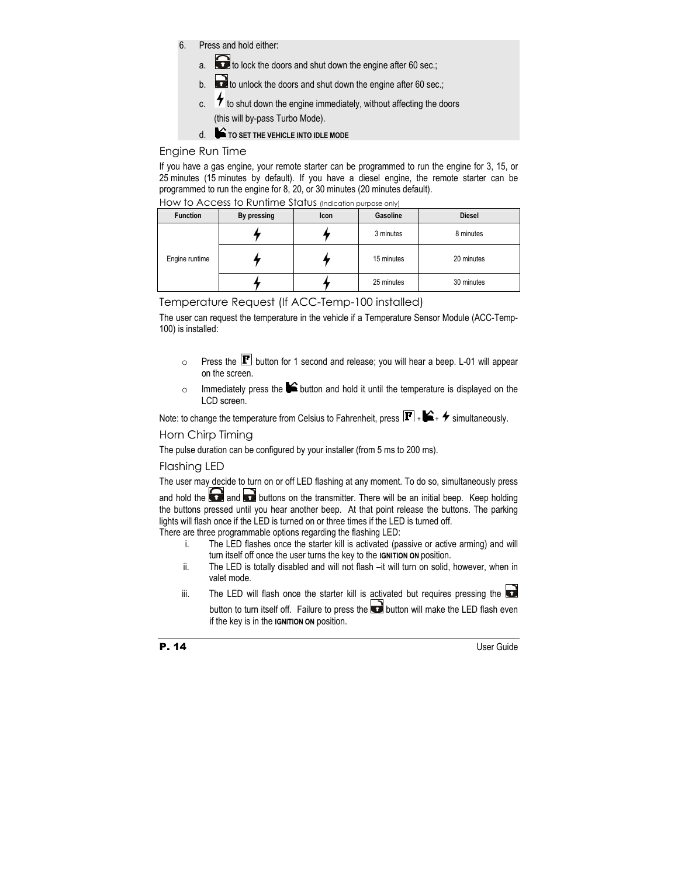- 6. Press and hold either:
	- a. **to** to lock the doors and shut down the engine after 60 sec.;
	- b.  $\Box$  to unlock the doors and shut down the engine after 60 sec.;
	- c.  $\overline{\mathcal{F}}$  to shut down the engine immediately, without affecting the doors (this will by-pass Turbo Mode).
	- d. **TO SET THE VEHICLE INTO IDLE MODE**

# Engine Run Time

If you have a gas engine, your remote starter can be programmed to run the engine for 3, 15, or 25 minutes (15 minutes by default). If you have a diesel engine, the remote starter can be programmed to run the engine for 8, 20, or 30 minutes (20 minutes default).

| <b>Function</b> | By pressing | Icon | Gasoline   | <b>Diesel</b> |
|-----------------|-------------|------|------------|---------------|
| Engine runtime  |             |      | 3 minutes  | 8 minutes     |
|                 |             |      | 15 minutes | 20 minutes    |
|                 |             |      | 25 minutes | 30 minutes    |

How to Access to Runtime Status (Indication purpose only)

Temperature Request (If ACC-Temp-100 installed)

The user can request the temperature in the vehicle if a Temperature Sensor Module (ACC-Temp-100) is installed:

- $\circ$  Press the  $\mathbf F$  button for 1 second and release; you will hear a beep. L-01 will appear on the screen.
- $\circ$  Immediately press the  $\blacktriangleright$  button and hold it until the temperature is displayed on the LCD screen.

Note: to change the temperature from Celsius to Fahrenheit, press  $\mathbf{F}$  +  $\blacktriangle$  +  $\blacktriangle$  simultaneously.

# Horn Chirp Timing

The pulse duration can be configured by your installer (from 5 ms to 200 ms).

# Flashing LED

The user may decide to turn on or off LED flashing at any moment. To do so, simultaneously press

and hold the and and buttons on the transmitter. There will be an initial beep. Keep holding the buttons pressed until you hear another beep. At that point release the buttons. The parking lights will flash once if the LED is turned on or three times if the LED is turned off.

There are three programmable options regarding the flashing LED:

- i. The LED flashes once the starter kill is activated (passive or active arming) and will turn itself off once the user turns the key to the **IGNITION ON** position.
- ii. The LED is totally disabled and will not flash –it will turn on solid, however, when in valet mode.
- iii. The LED will flash once the starter kill is activated but requires pressing the button to turn itself off. Failure to press the  $\Box$  button will make the LED flash even if the key is in the **IGNITION ON** position.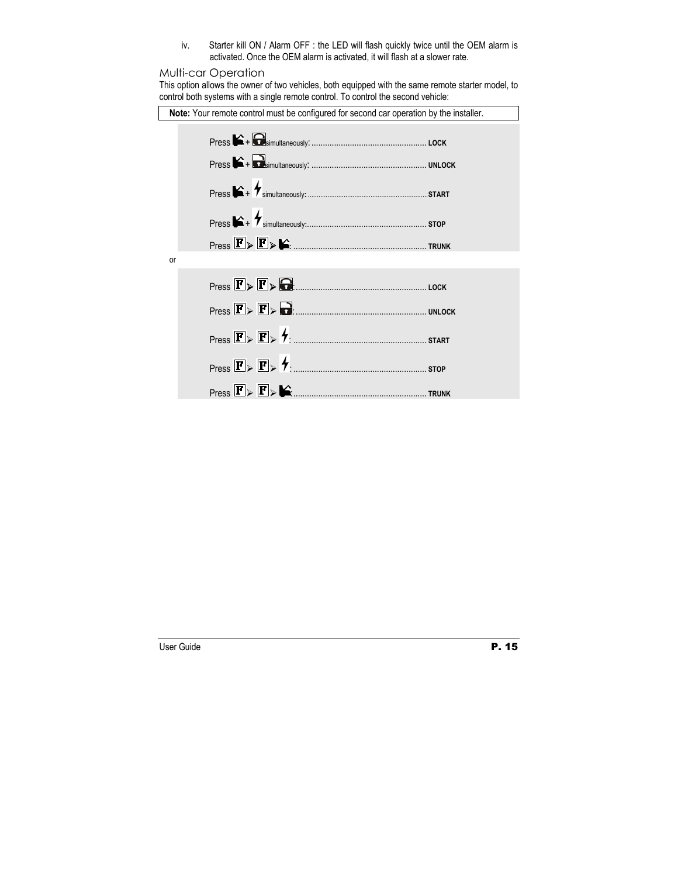iv. Starter kill ON / Alarm OFF : the LED will flash quickly twice until the OEM alarm is activated. Once the OEM alarm is activated, it will flash at a slower rate.

# Multi-car Operation

This option allows the owner of two vehicles, both equipped with the same remote starter model, to control both systems with a single remote control. To control the second vehicle:

| Note: Your remote control must be configured for second car operation by the installer.                 |  |  |  |  |
|---------------------------------------------------------------------------------------------------------|--|--|--|--|
|                                                                                                         |  |  |  |  |
|                                                                                                         |  |  |  |  |
|                                                                                                         |  |  |  |  |
| $\mathsf{Press}\rightarrow\mathsf{Y}_{\mathsf{simultaneously}:\dots}\rightarrow\mathsf{stop}$           |  |  |  |  |
|                                                                                                         |  |  |  |  |
| or                                                                                                      |  |  |  |  |
|                                                                                                         |  |  |  |  |
|                                                                                                         |  |  |  |  |
|                                                                                                         |  |  |  |  |
|                                                                                                         |  |  |  |  |
| $\mathsf{Press}\ \boxed{\mathbf{F}}\triangleright \boxed{\mathbf{F}}\triangleright \blacklozenge\ldots$ |  |  |  |  |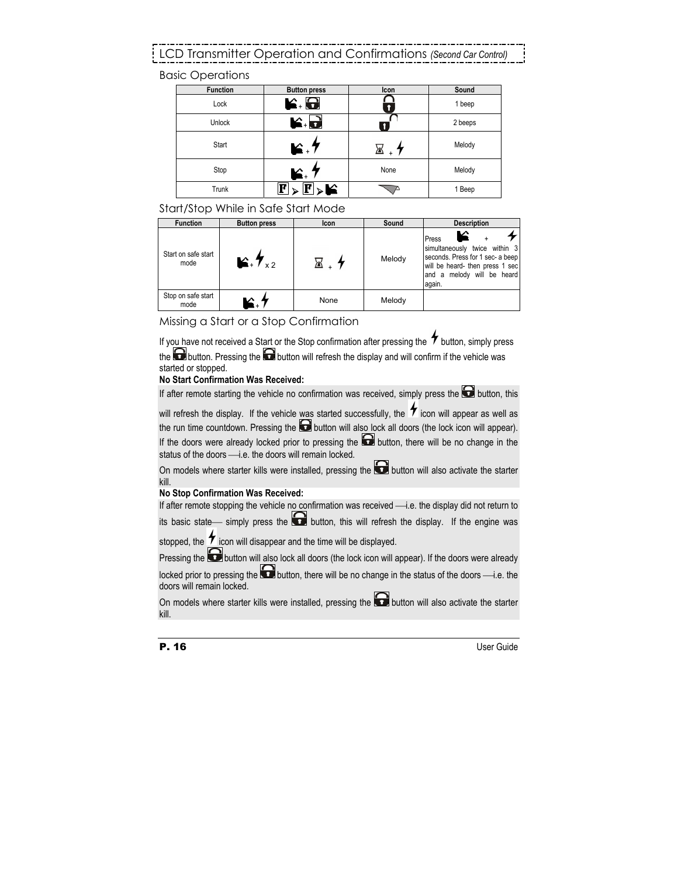# LCD Transmitter Operation and Confirmations *(Second Car Control)*

Basic Operations

| <b>Function</b> | <b>Button press</b>            | <b>Icon</b> | Sound   |
|-----------------|--------------------------------|-------------|---------|
| Lock            | K. 8                           |             | 1 beep  |
| Unlock          | r d                            |             | 2 beeps |
| Start           | $\blacktriangleright$ .        |             | Melody  |
| Stop            | К.                             | None        | Melody  |
| Trunk           | $\mathbf{F}$<br>$ \mathbf{F} $ |             | 1 Beep  |

# Start/Stop While in Safe Start Mode

| <b>Function</b>             | <b>Button press</b>              | <b>Icon</b> | Sound  | <b>Description</b>                                                                                                                                    |
|-----------------------------|----------------------------------|-------------|--------|-------------------------------------------------------------------------------------------------------------------------------------------------------|
| Start on safe start<br>mode | $\mathbf{E}$ , $\mathbf{V}_{x2}$ |             | Melody | Press<br>simultaneously twice within 3<br>seconds. Press for 1 sec- a beep<br>will be heard- then press 1 sec<br>and a melody will be heard<br>again. |
| Stop on safe start<br>mode  |                                  | None        | Melody |                                                                                                                                                       |

Missing a Start or a Stop Confirmation

If you have not received a Start or the Stop confirmation after pressing the  $\tau$  button, simply press the  $\bigodot$  button. Pressing the  $\bigodot$  button will refresh the display and will confirm if the vehicle was started or stopped.

# **No Start Confirmation Was Received:**

If after remote starting the vehicle no confirmation was received, simply press the  $\Box$  button, this

will refresh the display. If the vehicle was started successfully, the  $\bullet$  icon will appear as well as the run time countdown. Pressing the  $\Box$  button will also lock all doors (the lock icon will appear). If the doors were already locked prior to pressing the  $\Box$  button, there will be no change in the status of the doors  $\longrightarrow$  e. the doors will remain locked.

On models where starter kills were installed, pressing the  $\bigodot$  button will also activate the starter kill.

#### **No Stop Confirmation Was Received:**

If after remote stopping the vehicle no confirmation was received -i.e. the display did not return to its basic state simply press the  $\Box$  button, this will refresh the display. If the engine was

stopped, the  $\tau$  icon will disappear and the time will be displayed.

Pressing the **button will also lock all doors** (the lock icon will appear). If the doors were already locked prior to pressing the **button**, there will be no change in the status of the doors —i.e. the doors will remain locked.

On models where starter kills were installed, pressing the  $\Box$  button will also activate the starter kill.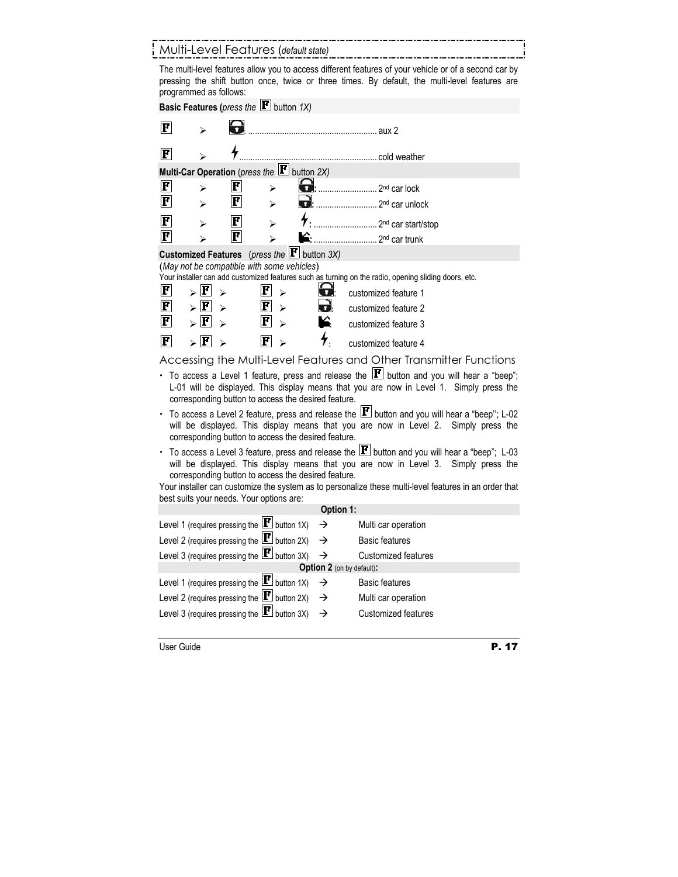# Multi-Level Features (*default state)*

The multi-level features allow you to access different features of your vehicle or of a second car by pressing the shift button once, twice or three times. By default, the multi-level features are programmed as follows:

| Basic Features (press the $\mathbf{F}$ button 1X)                                                                                                                                                                                                                                                                                                                |                                    |                       |                                                                |               |                                                                                                      |
|------------------------------------------------------------------------------------------------------------------------------------------------------------------------------------------------------------------------------------------------------------------------------------------------------------------------------------------------------------------|------------------------------------|-----------------------|----------------------------------------------------------------|---------------|------------------------------------------------------------------------------------------------------|
| $\bf{F}$                                                                                                                                                                                                                                                                                                                                                         |                                    |                       |                                                                |               |                                                                                                      |
| $\bf{F}$                                                                                                                                                                                                                                                                                                                                                         |                                    |                       |                                                                |               |                                                                                                      |
|                                                                                                                                                                                                                                                                                                                                                                  |                                    |                       | Multi-Car Operation (press the $\mathbf{F}$ button 2X)         |               |                                                                                                      |
| F                                                                                                                                                                                                                                                                                                                                                                | ↘                                  | $ \mathbf{F} $        | ⋗                                                              |               |                                                                                                      |
| F                                                                                                                                                                                                                                                                                                                                                                | ⊳                                  | $ \mathbf{F} $        | ⊳                                                              |               |                                                                                                      |
| F                                                                                                                                                                                                                                                                                                                                                                | ↘                                  | $ \mathbf{F} $        | ↘                                                              |               |                                                                                                      |
| F                                                                                                                                                                                                                                                                                                                                                                | ↘                                  | $ \mathbf{F} $        | $\blacktriangleright$                                          |               | 2 <sup>nd</sup> car trunk                                                                            |
|                                                                                                                                                                                                                                                                                                                                                                  |                                    |                       | <b>Customized Features</b> (press the $\mathbf{F}$ button 3X)  |               |                                                                                                      |
|                                                                                                                                                                                                                                                                                                                                                                  |                                    |                       | (May not be compatible with some vehicles)                     |               | Your installer can add customized features such as turning on the radio, opening sliding doors, etc. |
| $ \mathbf{F} $                                                                                                                                                                                                                                                                                                                                                   | $\triangleright$ $\mathbf{F}$      | $\blacktriangleright$ | $\bf{F}$<br>$\blacktriangleright$                              | 8             |                                                                                                      |
| $ \mathbf{F} $                                                                                                                                                                                                                                                                                                                                                   | F<br>$\triangleright$              |                       | $\bf{F}$                                                       |               | customized feature 1                                                                                 |
| F                                                                                                                                                                                                                                                                                                                                                                | F                                  | ↘                     | ↘<br>F                                                         |               | customized feature 2                                                                                 |
|                                                                                                                                                                                                                                                                                                                                                                  |                                    |                       |                                                                |               | customized feature 3                                                                                 |
| $\bf F$                                                                                                                                                                                                                                                                                                                                                          | $_{>}$ $\left  \mathbf{F} \right $ |                       | $\mathbf{F}$                                                   |               | customized feature 4                                                                                 |
|                                                                                                                                                                                                                                                                                                                                                                  |                                    |                       |                                                                |               | Accessing the Multi-Level Features and Other Transmitter Functions                                   |
| • To access a Level 1 feature, press and release the $\mathbf{F}$ button and you will hear a "beep";<br>L-01 will be displayed. This display means that you are now in Level 1. Simply press the<br>corresponding button to access the desired feature.                                                                                                          |                                    |                       |                                                                |               |                                                                                                      |
| To access a Level 2 feature, press and release the $\mathbf{F}$ button and you will hear a "beep"; L-02<br>will be displayed. This display means that you are now in Level 2. Simply press the<br>corresponding button to access the desired feature.                                                                                                            |                                    |                       |                                                                |               |                                                                                                      |
| • To access a Level 3 feature, press and release the $\mathbf{F}$ button and you will hear a "beep"; L-03<br>will be displayed. This display means that you are now in Level 3. Simply press the<br>corresponding button to access the desired feature.<br>Your installer can customize the system as to personalize these multi-level features in an order that |                                    |                       |                                                                |               |                                                                                                      |
|                                                                                                                                                                                                                                                                                                                                                                  |                                    |                       | best suits your needs. Your options are:                       |               |                                                                                                      |
|                                                                                                                                                                                                                                                                                                                                                                  |                                    |                       |                                                                | Option 1:     |                                                                                                      |
|                                                                                                                                                                                                                                                                                                                                                                  |                                    |                       | Level 1 (requires pressing the $ H $ button 1X)                | →             | Multi car operation                                                                                  |
|                                                                                                                                                                                                                                                                                                                                                                  |                                    |                       | Level 2 (requires pressing the $\boxed{\mathbf{F}}$ button 2X) | →             | <b>Basic features</b>                                                                                |
|                                                                                                                                                                                                                                                                                                                                                                  |                                    |                       | Level 3 (requires pressing the $\mathbf{F}$ button 3X)         | →             | <b>Customized features</b>                                                                           |
| Option 2 (on by default):<br>Level 1 (requires pressing the $\mathbf{F}$ button 1X)                                                                                                                                                                                                                                                                              |                                    |                       |                                                                |               |                                                                                                      |
|                                                                                                                                                                                                                                                                                                                                                                  |                                    |                       |                                                                | →             | <b>Basic features</b>                                                                                |
|                                                                                                                                                                                                                                                                                                                                                                  |                                    |                       | Level 2 (requires pressing the $ \mathbf{F} $ button 2X)       | $\rightarrow$ | Multi car operation                                                                                  |
|                                                                                                                                                                                                                                                                                                                                                                  |                                    |                       | Level 3 (requires pressing the $ \mathbf{F} $ button 3X)       | $\rightarrow$ | <b>Customized features</b>                                                                           |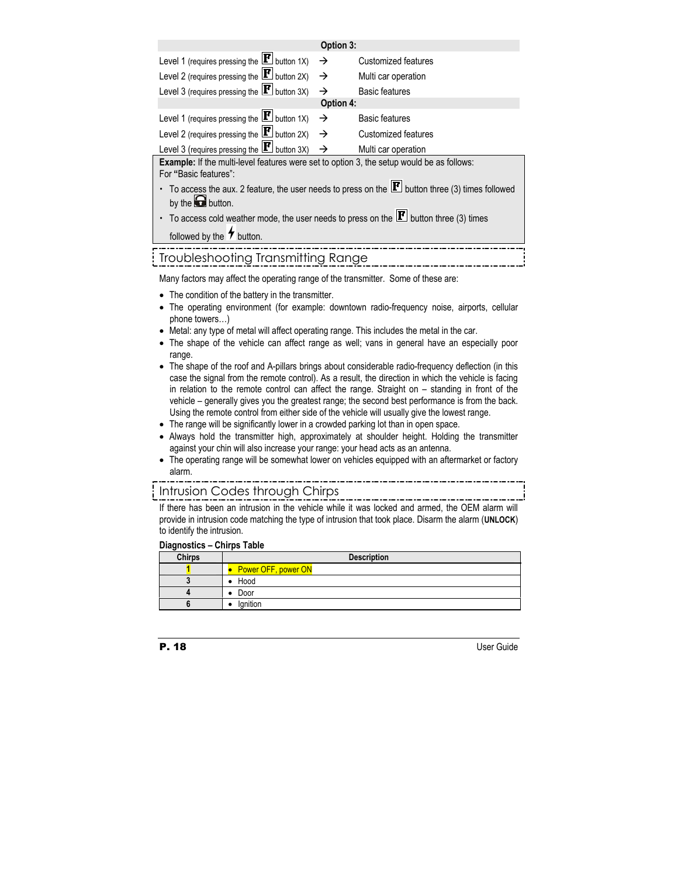| Option 3:                                                                                                          |               |                       |  |  |
|--------------------------------------------------------------------------------------------------------------------|---------------|-----------------------|--|--|
| Level 1 (requires pressing the $\mathbf{F}$ button 1X)                                                             | $\rightarrow$ | Customized features   |  |  |
| Level 2 (requires pressing the $\mathbf{F}$ button 2X)                                                             | $\rightarrow$ | Multi car operation   |  |  |
| Level 3 (requires pressing the $\boxed{\mathbf{F}}$ button 3X)                                                     | →             | <b>Basic features</b> |  |  |
|                                                                                                                    | Option 4:     |                       |  |  |
| Level 1 (requires pressing the $ \mathbf{F} $ button 1X)                                                           | $\rightarrow$ | <b>Basic features</b> |  |  |
| Level 2 (requires pressing the $\mathbf{F}$ button 2X)                                                             | $\rightarrow$ | Customized features   |  |  |
| Level 3 (requires pressing the $ \mathbf{F} $ button 3X) $\rightarrow$                                             |               | Multi car operation   |  |  |
| Example: If the multi-level features were set to option 3, the setup would be as follows:<br>For "Basic features": |               |                       |  |  |
| • To access the aux. 2 feature, the user needs to press on the $\mathbf{F}$ button three (3) times followed        |               |                       |  |  |
| by the $\bigodot$ button.                                                                                          |               |                       |  |  |
| $\cdot$ To access cold weather mode, the user needs to press on the $\mathbf{F}$ button three (3) times            |               |                       |  |  |
| followed by the $\overline{\mathbf{v}}$ button.                                                                    |               |                       |  |  |
| Troubleshooting Transmitting Range                                                                                 |               |                       |  |  |

Many factors may affect the operating range of the transmitter. Some of these are:

- The condition of the battery in the transmitter.
- The operating environment (for example: downtown radio-frequency noise, airports, cellular phone towers…)
- Metal: any type of metal will affect operating range. This includes the metal in the car.
- The shape of the vehicle can affect range as well; vans in general have an especially poor range.
- The shape of the roof and A-pillars brings about considerable radio-frequency deflection (in this case the signal from the remote control). As a result, the direction in which the vehicle is facing in relation to the remote control can affect the range. Straight on – standing in front of the vehicle – generally gives you the greatest range; the second best performance is from the back. Using the remote control from either side of the vehicle will usually give the lowest range.
- The range will be significantly lower in a crowded parking lot than in open space.
- Always hold the transmitter high, approximately at shoulder height. Holding the transmitter against your chin will also increase your range: your head acts as an antenna.
- The operating range will be somewhat lower on vehicles equipped with an aftermarket or factory alarm.

# Intrusion Codes through Chirps

If there has been an intrusion in the vehicle while it was locked and armed, the OEM alarm will provide in intrusion code matching the type of intrusion that took place. Disarm the alarm (**UNLOCK**) to identify the intrusion.

### **Diagnostics – Chirps Table**

| <b>Chirps</b> | <b>Description</b>  |  |  |
|---------------|---------------------|--|--|
|               | Power OFF, power ON |  |  |
|               | Hood                |  |  |
|               | Door                |  |  |
|               | lanition            |  |  |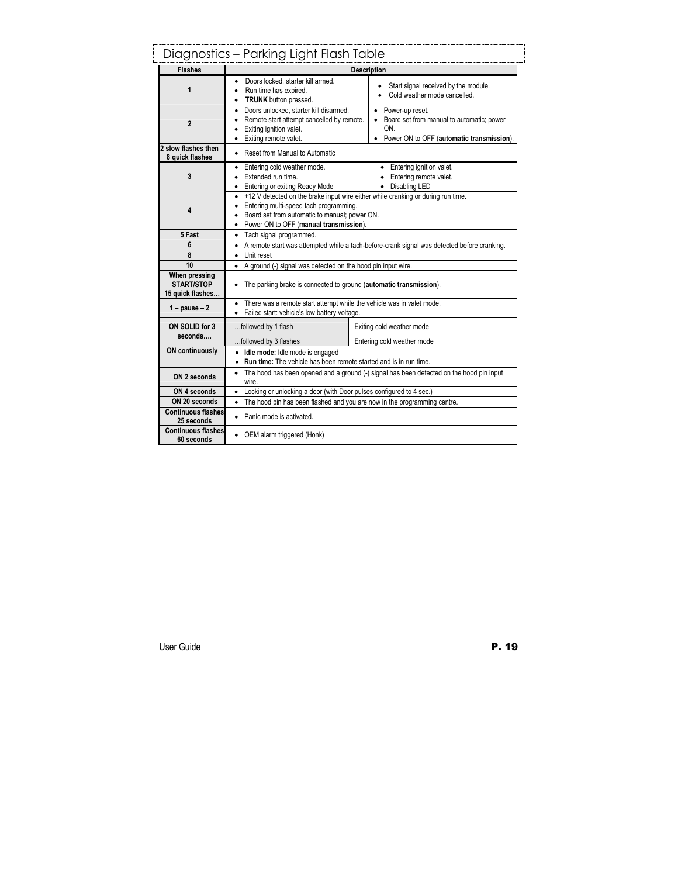# Diagnostics – Parking Light Flash Table

| <b>Flashes</b>                                         | <b>Description</b>                                                                                                                                                                                                                 |                                                                                                                      |  |  |
|--------------------------------------------------------|------------------------------------------------------------------------------------------------------------------------------------------------------------------------------------------------------------------------------------|----------------------------------------------------------------------------------------------------------------------|--|--|
| 1                                                      | Doors locked, starter kill armed.<br>Run time has expired.<br><b>TRUNK</b> button pressed.                                                                                                                                         | Start signal received by the module.<br>Cold weather mode cancelled.                                                 |  |  |
| $\overline{2}$                                         | Doors unlocked, starter kill disarmed.<br>٠<br>Remote start attempt cancelled by remote.<br>Exiting ignition valet.<br>Exiting remote valet.                                                                                       | • Power-up reset.<br>Board set from manual to automatic; power<br>ON.<br>• Power ON to OFF (automatic transmission). |  |  |
| 2 slow flashes then<br>8 quick flashes                 | Reset from Manual to Automatic                                                                                                                                                                                                     |                                                                                                                      |  |  |
| 3                                                      | Entering cold weather mode.<br>$\bullet$<br>Extended run time.<br>Entering or exiting Ready Mode<br>$\bullet$                                                                                                                      | • Entering ignition valet.<br>• Entering remote valet.<br>• Disabling LED                                            |  |  |
| 4                                                      | +12 V detected on the brake input wire either while cranking or during run time.<br>$\bullet$<br>Entering multi-speed tach programming.<br>Board set from automatic to manual; power ON.<br>Power ON to OFF (manual transmission). |                                                                                                                      |  |  |
| 5 Fast                                                 | • Tach signal programmed.                                                                                                                                                                                                          |                                                                                                                      |  |  |
| 6                                                      | • A remote start was attempted while a tach-before-crank signal was detected before cranking.                                                                                                                                      |                                                                                                                      |  |  |
| 8                                                      | • Unit reset                                                                                                                                                                                                                       |                                                                                                                      |  |  |
| 10                                                     | • A ground (-) signal was detected on the hood pin input wire.                                                                                                                                                                     |                                                                                                                      |  |  |
| When pressing<br><b>START/STOP</b><br>15 quick flashes | The parking brake is connected to ground (automatic transmission).                                                                                                                                                                 |                                                                                                                      |  |  |
| $1 - \text{pause} - 2$                                 | There was a remote start attempt while the vehicle was in valet mode.<br>Failed start: vehicle's low battery voltage.                                                                                                              |                                                                                                                      |  |  |
| ON SOLID for 3<br>seconds                              | followed by 1 flash                                                                                                                                                                                                                | Exiting cold weather mode                                                                                            |  |  |
|                                                        | Entering cold weather mode<br>followed by 3 flashes                                                                                                                                                                                |                                                                                                                      |  |  |
| <b>ON continuously</b>                                 | · Idle mode: Idle mode is engaged<br>• Run time: The vehicle has been remote started and is in run time.                                                                                                                           |                                                                                                                      |  |  |
| ON 2 seconds                                           | The hood has been opened and a ground (-) signal has been detected on the hood pin input<br>٠<br>wire.                                                                                                                             |                                                                                                                      |  |  |
| ON 4 seconds                                           | • Locking or unlocking a door (with Door pulses configured to 4 sec.)                                                                                                                                                              |                                                                                                                      |  |  |
| ON 20 seconds                                          | • The hood pin has been flashed and you are now in the programming centre.                                                                                                                                                         |                                                                                                                      |  |  |
| <b>Continuous flashes</b><br>25 seconds                | • Panic mode is activated.                                                                                                                                                                                                         |                                                                                                                      |  |  |
| <b>Continuous flashes</b><br>60 seconds                | • OEM alarm triggered (Honk)                                                                                                                                                                                                       |                                                                                                                      |  |  |

J